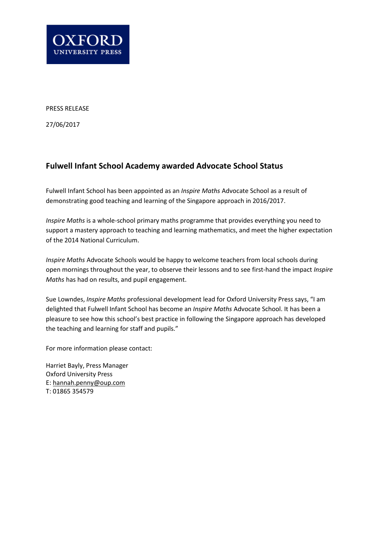

PRESS RELEASE

27/06/2017

## **Fulwell Infant School Academy awarded Advocate School Status**

Fulwell Infant School has been appointed as an *Inspire Maths* Advocate School as a result of demonstrating good teaching and learning of the Singapore approach in 2016/2017.

*Inspire Maths* is a whole-school primary maths programme that provides everything you need to support a mastery approach to teaching and learning mathematics, and meet the higher expectation of the 2014 National Curriculum.

*Inspire Maths* Advocate Schools would be happy to welcome teachers from local schools during open mornings throughout the year, to observe their lessons and to see first-hand the impact *Inspire Maths* has had on results, and pupil engagement.

Sue Lowndes, *Inspire Maths* professional development lead for Oxford University Press says, "I am delighted that Fulwell Infant School has become an *Inspire Maths* Advocate School. It has been a pleasure to see how this school's best practice in following the Singapore approach has developed the teaching and learning for staff and pupils."

For more information please contact:

Harriet Bayly, Press Manager Oxford University Press E: hannah.penny@oup.com T: 01865 354579